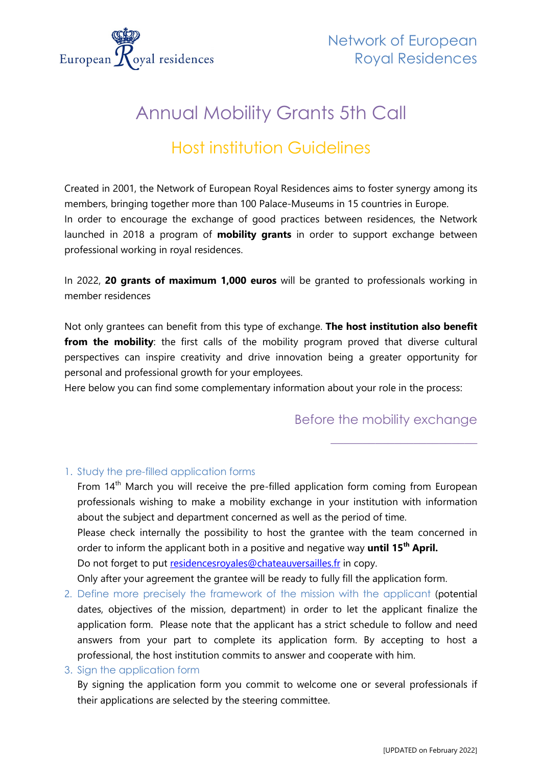

# Annual Mobility Grants 5th Call

## Host institution Guidelines

Created in 2001, the Network of European Royal Residences aims to foster synergy among its members, bringing together more than 100 Palace-Museums in 15 countries in Europe. In order to encourage the exchange of good practices between residences, the Network launched in 2018 a program of **mobility grants** in order to support exchange between professional working in royal residences.

In 2022, **20 grants of maximum 1,000 euros** will be granted to professionals working in member residences

Not only grantees can benefit from this type of exchange. **The host institution also benefit from the mobility**: the first calls of the mobility program proved that diverse cultural [perspectives can inspire creativity and drive innovation](https://www.hult.edu/blog/benefits-challenges-cultural-diversity-workplace/#creativity) being a greater opportunity for personal and professional growth for your employees.

Here below you can find some complementary information about your role in the process:

## Before the mobility exchange

\_\_\_\_\_\_\_\_\_\_\_\_\_\_\_\_\_\_\_\_\_\_\_

### 1. Study the pre-filled application forms

From 14<sup>th</sup> March you will receive the pre-filled application form coming from European professionals wishing to make a mobility exchange in your institution with information about the subject and department concerned as well as the period of time. Please check internally the possibility to host the grantee with the team concerned in order to inform the applicant both in a positive and negative way **until 15th April.**

Do not forget to put [residencesroyales@chateauversailles.fr](mailto:residencesroyales@chateauversailles.fr) in copy.

Only after your agreement the grantee will be ready to fully fill the application form.

- 2. Define more precisely the framework of the mission with the applicant (potential dates, objectives of the mission, department) in order to let the applicant finalize the application form. Please note that the applicant has a strict schedule to follow and need answers from your part to complete its application form. By accepting to host a professional, the host institution commits to answer and cooperate with him.
- 3. Sign the application form

By signing the application form you commit to welcome one or several professionals if their applications are selected by the steering committee.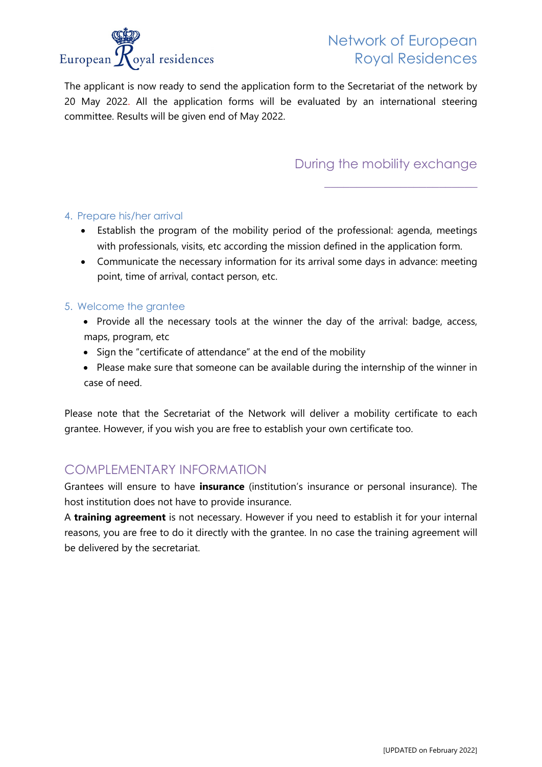

## Network of European Royal Residences

The applicant is now ready to send the application form to the Secretariat of the network by 20 May 2022. All the application forms will be evaluated by an international steering committee. Results will be given end of May 2022.

## During the mobility exchange

 $\frac{1}{2}$  , and the set of the set of the set of the set of the set of the set of the set of the set of the set of the set of the set of the set of the set of the set of the set of the set of the set of the set of the set

#### 4. Prepare his/her arrival

- Establish the program of the mobility period of the professional: agenda, meetings with professionals, visits, etc according the mission defined in the application form.
- Communicate the necessary information for its arrival some days in advance: meeting point, time of arrival, contact person, etc.

#### 5. Welcome the grantee

- Provide all the necessary tools at the winner the day of the arrival: badge, access, maps, program, etc
- Sign the "certificate of attendance" at the end of the mobility
- Please make sure that someone can be available during the internship of the winner in case of need.

Please note that the Secretariat of the Network will deliver a mobility certificate to each grantee. However, if you wish you are free to establish your own certificate too.

### COMPLEMENTARY INFORMATION

Grantees will ensure to have **insurance** (institution's insurance or personal insurance). The host institution does not have to provide insurance.

A **training agreement** is not necessary. However if you need to establish it for your internal reasons, you are free to do it directly with the grantee. In no case the training agreement will be delivered by the secretariat.